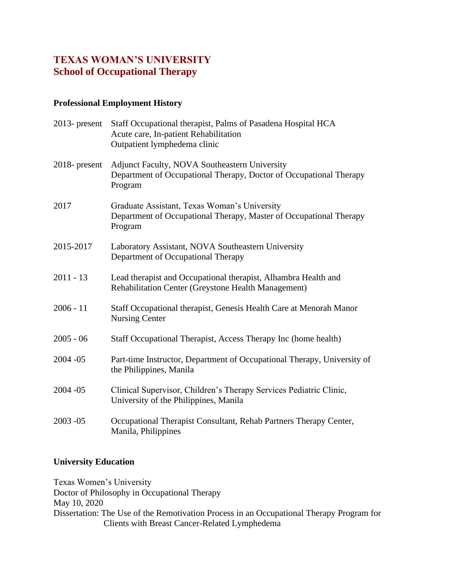# **TEXAS WOMAN'S UNIVERSITY School of Occupational Therapy**

## **Professional Employment History**

| $2013$ - present | Staff Occupational therapist, Palms of Pasadena Hospital HCA<br>Acute care, In-patient Rehabilitation<br>Outpatient lymphedema clinic |
|------------------|---------------------------------------------------------------------------------------------------------------------------------------|
| $2018$ - present | <b>Adjunct Faculty, NOVA Southeastern University</b><br>Department of Occupational Therapy, Doctor of Occupational Therapy<br>Program |
| 2017             | Graduate Assistant, Texas Woman's University<br>Department of Occupational Therapy, Master of Occupational Therapy<br>Program         |
| 2015-2017        | Laboratory Assistant, NOVA Southeastern University<br>Department of Occupational Therapy                                              |
| $2011 - 13$      | Lead therapist and Occupational therapist, Alhambra Health and<br>Rehabilitation Center (Greystone Health Management)                 |
| $2006 - 11$      | Staff Occupational therapist, Genesis Health Care at Menorah Manor<br><b>Nursing Center</b>                                           |
| $2005 - 06$      | Staff Occupational Therapist, Access Therapy Inc (home health)                                                                        |
| $2004 - 05$      | Part-time Instructor, Department of Occupational Therapy, University of<br>the Philippines, Manila                                    |
| $2004 - 05$      | Clinical Supervisor, Children's Therapy Services Pediatric Clinic,<br>University of the Philippines, Manila                           |
| $2003 - 05$      | Occupational Therapist Consultant, Rehab Partners Therapy Center,<br>Manila, Philippines                                              |

### **University Education**

Texas Women's University Doctor of Philosophy in Occupational Therapy May 10, 2020 Dissertation: The Use of the Remotivation Process in an Occupational Therapy Program for Clients with Breast Cancer-Related Lymphedema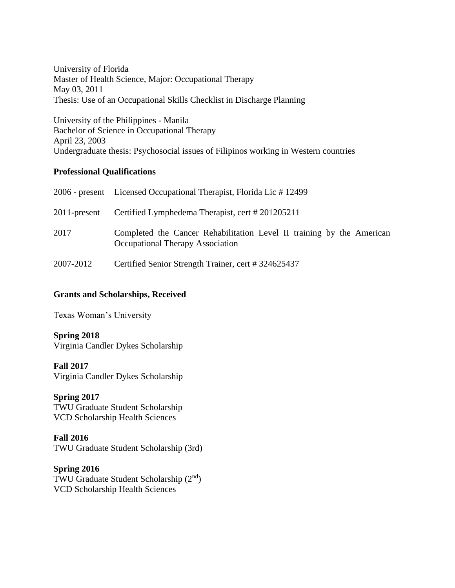University of Florida Master of Health Science, Major: Occupational Therapy May 03, 2011 Thesis: Use of an Occupational Skills Checklist in Discharge Planning

University of the Philippines - Manila Bachelor of Science in Occupational Therapy April 23, 2003 Undergraduate thesis: Psychosocial issues of Filipinos working in Western countries

### **Professional Qualifications**

|              | 2006 - present Licensed Occupational Therapist, Florida Lic #12499                                               |
|--------------|------------------------------------------------------------------------------------------------------------------|
| 2011-present | Certified Lymphedema Therapist, cert #201205211                                                                  |
| 2017         | Completed the Cancer Rehabilitation Level II training by the American<br><b>Occupational Therapy Association</b> |
| 2007-2012    | Certified Senior Strength Trainer, cert #324625437                                                               |

### **Grants and Scholarships, Received**

Texas Woman's University

### **Spring 2018**

Virginia Candler Dykes Scholarship

**Fall 2017** Virginia Candler Dykes Scholarship

**Spring 2017** TWU Graduate Student Scholarship VCD Scholarship Health Sciences

#### **Fall 2016** TWU Graduate Student Scholarship (3rd)

**Spring 2016** TWU Graduate Student Scholarship (2nd) VCD Scholarship Health Sciences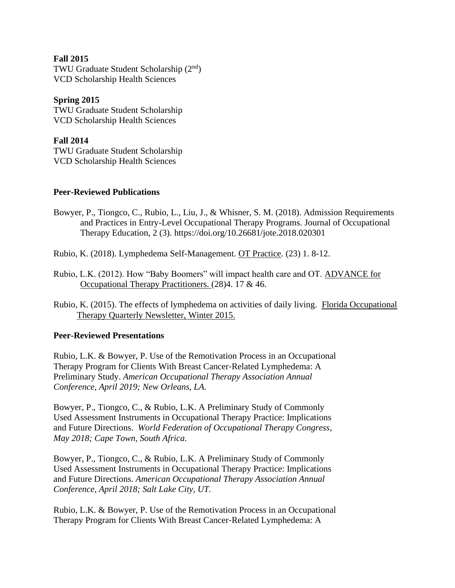#### **Fall 2015**

TWU Graduate Student Scholarship (2<sup>nd</sup>) VCD Scholarship Health Sciences

### **Spring 2015**

TWU Graduate Student Scholarship VCD Scholarship Health Sciences

## **Fall 2014**

TWU Graduate Student Scholarship VCD Scholarship Health Sciences

### **Peer-Reviewed Publications**

- Bowyer, P., Tiongco, C., Rubio, L., Liu, J., & Whisner, S. M. (2018). Admission Requirements and Practices in Entry-Level Occupational Therapy Programs. Journal of Occupational Therapy Education, 2 (3). https://doi.org/10.26681/jote.2018.020301
- Rubio, K. (2018). Lymphedema Self-Management. OT Practice. (23) 1. 8-12.
- Rubio, L.K. (2012). How "Baby Boomers" will impact health care and OT. ADVANCE for Occupational Therapy Practitioners. (28)4. 17 & 46.
- Rubio, K. (2015). The effects of lymphedema on activities of daily living. Florida Occupational Therapy Quarterly Newsletter, Winter 2015.

### **Peer-Reviewed Presentations**

Rubio, L.K. & Bowyer, P. Use of the Remotivation Process in an Occupational Therapy Program for Clients With Breast Cancer‑Related Lymphedema: A Preliminary Study. *American Occupational Therapy Association Annual Conference, April 2019; New Orleans, LA.*

Bowyer, P., Tiongco, C., & Rubio, L.K. A Preliminary Study of Commonly Used Assessment Instruments in Occupational Therapy Practice: Implications and Future Directions. *World Federation of Occupational Therapy Congress, May 2018; Cape Town, South Africa.*

Bowyer, P., Tiongco, C., & Rubio, L.K. A Preliminary Study of Commonly Used Assessment Instruments in Occupational Therapy Practice: Implications and Future Directions. *American Occupational Therapy Association Annual Conference, April 2018; Salt Lake City, UT.*

Rubio, L.K. & Bowyer, P. Use of the Remotivation Process in an Occupational Therapy Program for Clients With Breast Cancer‑Related Lymphedema: A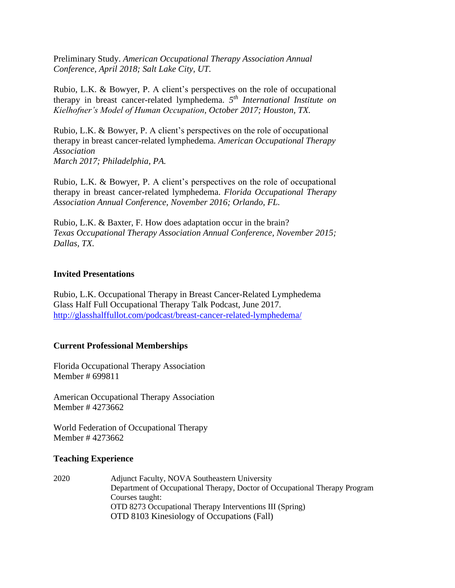Preliminary Study. *American Occupational Therapy Association Annual Conference, April 2018; Salt Lake City, UT.*

Rubio, L.K. & Bowyer, P. A client's perspectives on the role of occupational therapy in breast cancer-related lymphedema. *5 th International Institute on Kielhofner's Model of Human Occupation, October 2017; Houston, TX.*

Rubio, L.K. & Bowyer, P. A client's perspectives on the role of occupational therapy in breast cancer-related lymphedema*. American Occupational Therapy Association March 2017; Philadelphia, PA.*

Rubio, L.K. & Bowyer, P. A client's perspectives on the role of occupational therapy in breast cancer-related lymphedema. *Florida Occupational Therapy Association Annual Conference, November 2016; Orlando, FL.*

Rubio, L.K. & Baxter, F. How does adaptation occur in the brain? *Texas Occupational Therapy Association Annual Conference, November 2015; Dallas, TX.*

#### **Invited Presentations**

Rubio, L.K. Occupational Therapy in Breast Cancer-Related Lymphedema Glass Half Full Occupational Therapy Talk Podcast, June 2017. <http://glasshalffullot.com/podcast/breast-cancer-related-lymphedema/>

#### **Current Professional Memberships**

Florida Occupational Therapy Association Member # 699811

American Occupational Therapy Association Member # 4273662

World Federation of Occupational Therapy Member # 4273662

#### **Teaching Experience**

2020 Adjunct Faculty, NOVA Southeastern University Department of Occupational Therapy, Doctor of Occupational Therapy Program Courses taught: OTD 8273 Occupational Therapy Interventions III (Spring) OTD 8103 Kinesiology of Occupations (Fall)